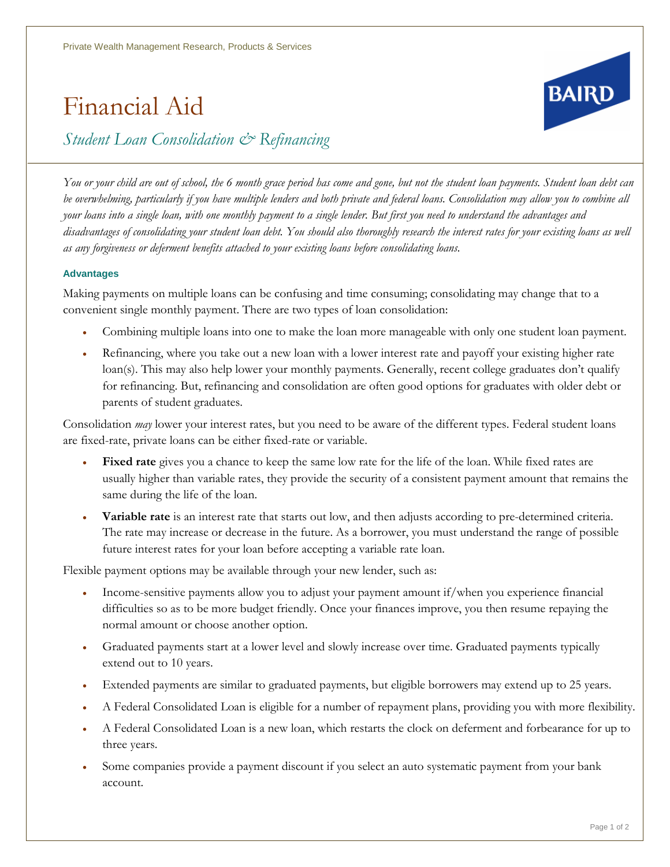## Financial Aid



*Student Loan Consolidation & Refinancing*

*You or your child are out of school, the 6 month grace period has come and gone, but not the student loan payments. Student loan debt can be overwhelming, particularly if you have multiple lenders and both private and federal loans. Consolidation may allow you to combine all your loans into a single loan, with one monthly payment to a single lender. But first you need to understand the advantages and disadvantages of consolidating your student loan debt. You should also thoroughly research the interest rates for your existing loans as well as any forgiveness or deferment benefits attached to your existing loans before consolidating loans.*

## **Advantages**

Making payments on multiple loans can be confusing and time consuming; consolidating may change that to a convenient single monthly payment. There are two types of loan consolidation:

- Combining multiple loans into one to make the loan more manageable with only one student loan payment.
- Refinancing, where you take out a new loan with a lower interest rate and payoff your existing higher rate loan(s). This may also help lower your monthly payments. Generally, recent college graduates don't qualify for refinancing. But, refinancing and consolidation are often good options for graduates with older debt or parents of student graduates.

Consolidation *may* lower your interest rates, but you need to be aware of the different types. Federal student loans are fixed-rate, private loans can be either fixed-rate or variable.

- **Fixed rate** gives you a chance to keep the same low rate for the life of the loan. While fixed rates are usually higher than variable rates, they provide the security of a consistent payment amount that remains the same during the life of the loan.
- **Variable rate** is an interest rate that starts out low, and then adjusts according to pre-determined criteria. The rate may increase or decrease in the future. As a borrower, you must understand the range of possible future interest rates for your loan before accepting a variable rate loan.

Flexible payment options may be available through your new lender, such as:

- Income-sensitive payments allow you to adjust your payment amount if/when you experience financial difficulties so as to be more budget friendly. Once your finances improve, you then resume repaying the normal amount or choose another option.
- Graduated payments start at a lower level and slowly increase over time. Graduated payments typically extend out to 10 years.
- Extended payments are similar to graduated payments, but eligible borrowers may extend up to 25 years.
- A Federal Consolidated Loan is eligible for a number of repayment plans, providing you with more flexibility.
- A Federal Consolidated Loan is a new loan, which restarts the clock on deferment and forbearance for up to three years.
- Some companies provide a payment discount if you select an auto systematic payment from your bank account.